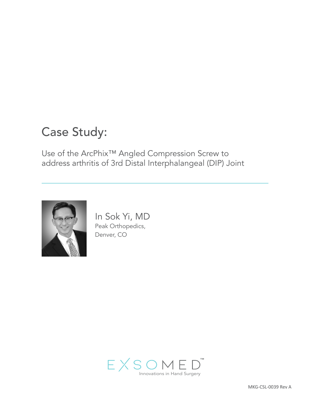# Case Study:

Use of the ArcPhix™ Angled Compression Screw to address arthritis of 3rd Distal Interphalangeal (DIP) Joint



In Sok Yi, MD Peak Orthopedics, Denver, CO

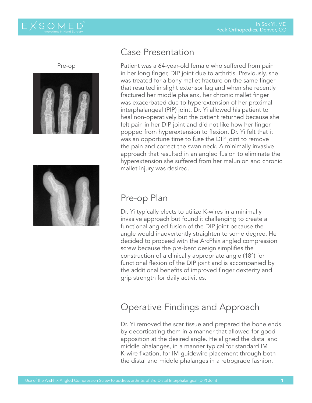

™



# Case Presentation

Patient was a 64-year-old female who suffered from pain in her long finger, DIP joint due to arthritis. Previously, she was treated for a bony mallet fracture on the same finger that resulted in slight extensor lag and when she recently fractured her middle phalanx, her chronic mallet finger was exacerbated due to hyperextension of her proximal interphalangeal (PIP) joint. Dr. Yi allowed his patient to heal non-operatively but the patient returned because she felt pain in her DIP joint and did not like how her finger popped from hyperextension to flexion. Dr. Yi felt that it was an opportune time to fuse the DIP joint to remove the pain and correct the swan neck. A minimally invasive approach that resulted in an angled fusion to eliminate the hyperextension she suffered from her malunion and chronic mallet injury was desired.



### Pre-op Plan

Dr. Yi typically elects to utilize K-wires in a minimally invasive approach but found it challenging to create a functional angled fusion of the DIP joint because the angle would inadvertently straighten to some degree. He decided to proceed with the ArcPhix angled compression screw because the pre-bent design simplifies the construction of a clinically appropriate angle (18°) for functional flexion of the DIP joint and is accompanied by the additional benefits of improved finger dexterity and grip strength for daily activities.

# Operative Findings and Approach

Dr. Yi removed the scar tissue and prepared the bone ends by decorticating them in a manner that allowed for good apposition at the desired angle. He aligned the distal and middle phalanges, in a manner typical for standard IM K-wire fixation, for IM guidewire placement through both the distal and middle phalanges in a retrograde fashion.